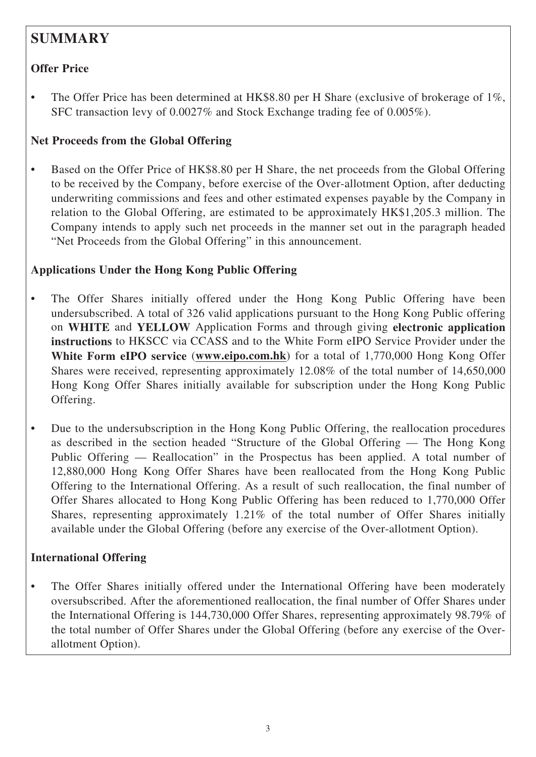# **SUMMARY**

### **Offer Price**

• The Offer Price has been determined at HK\$8.80 per H Share (exclusive of brokerage of 1%, SFC transaction levy of 0.0027% and Stock Exchange trading fee of 0.005%).

### **Net Proceeds from the Global Offering**

• Based on the Offer Price of HK\$8.80 per H Share, the net proceeds from the Global Offering to be received by the Company, before exercise of the Over-allotment Option, after deducting underwriting commissions and fees and other estimated expenses payable by the Company in relation to the Global Offering, are estimated to be approximately HK\$1,205.3 million. The Company intends to apply such net proceeds in the manner set out in the paragraph headed "Net Proceeds from the Global Offering" in this announcement.

### **Applications Under the Hong Kong Public Offering**

- The Offer Shares initially offered under the Hong Kong Public Offering have been undersubscribed. A total of 326 valid applications pursuant to the Hong Kong Public offering on **WHITE** and **YELLOW** Application Forms and through giving **electronic application instructions** to HKSCC via CCASS and to the White Form eIPO Service Provider under the **White Form eIPO service** (**www.eipo.com.hk**) for a total of 1,770,000 Hong Kong Offer Shares were received, representing approximately 12.08% of the total number of 14,650,000 Hong Kong Offer Shares initially available for subscription under the Hong Kong Public Offering.
- Due to the undersubscription in the Hong Kong Public Offering, the reallocation procedures as described in the section headed "Structure of the Global Offering — The Hong Kong Public Offering — Reallocation" in the Prospectus has been applied. A total number of 12,880,000 Hong Kong Offer Shares have been reallocated from the Hong Kong Public Offering to the International Offering. As a result of such reallocation, the final number of Offer Shares allocated to Hong Kong Public Offering has been reduced to 1,770,000 Offer Shares, representing approximately 1.21% of the total number of Offer Shares initially available under the Global Offering (before any exercise of the Over-allotment Option).

### **International Offering**

• The Offer Shares initially offered under the International Offering have been moderately oversubscribed. After the aforementioned reallocation, the final number of Offer Shares under the International Offering is 144,730,000 Offer Shares, representing approximately 98.79% of the total number of Offer Shares under the Global Offering (before any exercise of the Overallotment Option).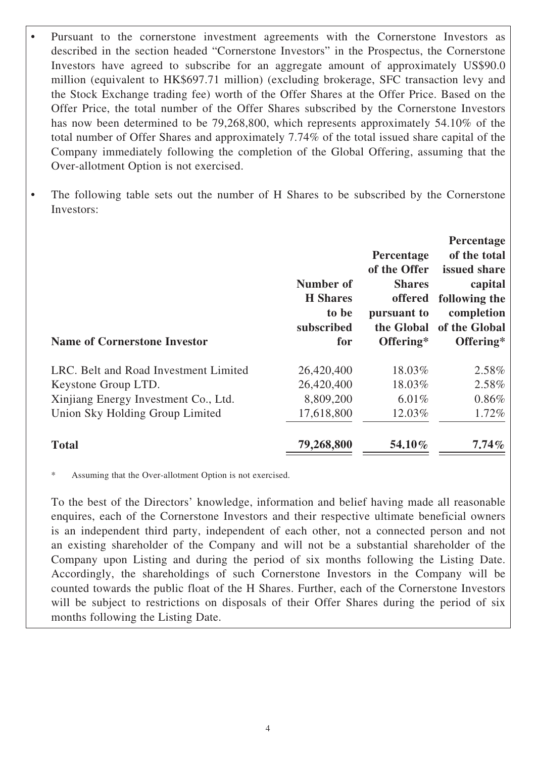Pursuant to the cornerstone investment agreements with the Cornerstone Investors as described in the section headed "Cornerstone Investors" in the Prospectus, the Cornerstone Investors have agreed to subscribe for an aggregate amount of approximately US\$90.0 million (equivalent to HK\$697.71 million) (excluding brokerage, SFC transaction levy and the Stock Exchange trading fee) worth of the Offer Shares at the Offer Price. Based on the Offer Price, the total number of the Offer Shares subscribed by the Cornerstone Investors has now been determined to be 79,268,800, which represents approximately 54.10% of the total number of Offer Shares and approximately 7.74% of the total issued share capital of the Company immediately following the completion of the Global Offering, assuming that the Over-allotment Option is not exercised.

• The following table sets out the number of H Shares to be subscribed by the Cornerstone Investors:

| <b>Name of Cornerstone Investor</b>   | Number of<br><b>H</b> Shares<br>to be<br>subscribed<br>for | Percentage<br>of the Offer<br><b>Shares</b><br>offered<br>pursuant to<br>the Global<br>Offering* | <b>Percentage</b><br>of the total<br>issued share<br>capital<br>following the<br>completion<br>of the Global<br>Offering* |
|---------------------------------------|------------------------------------------------------------|--------------------------------------------------------------------------------------------------|---------------------------------------------------------------------------------------------------------------------------|
| LRC. Belt and Road Investment Limited | 26,420,400                                                 | 18.03%                                                                                           | 2.58%                                                                                                                     |
| Keystone Group LTD.                   | 26,420,400                                                 | 18.03%                                                                                           | 2.58%                                                                                                                     |
| Xinjiang Energy Investment Co., Ltd.  | 8,809,200                                                  | $6.01\%$                                                                                         | $0.86\%$                                                                                                                  |
| Union Sky Holding Group Limited       | 17,618,800                                                 | 12.03%                                                                                           | 1.72%                                                                                                                     |
| <b>Total</b>                          | 79,268,800                                                 | 54.10%                                                                                           | $7.74\%$                                                                                                                  |

\* Assuming that the Over-allotment Option is not exercised.

 To the best of the Directors' knowledge, information and belief having made all reasonable enquires, each of the Cornerstone Investors and their respective ultimate beneficial owners is an independent third party, independent of each other, not a connected person and not an existing shareholder of the Company and will not be a substantial shareholder of the Company upon Listing and during the period of six months following the Listing Date. Accordingly, the shareholdings of such Cornerstone Investors in the Company will be counted towards the public float of the H Shares. Further, each of the Cornerstone Investors will be subject to restrictions on disposals of their Offer Shares during the period of six months following the Listing Date.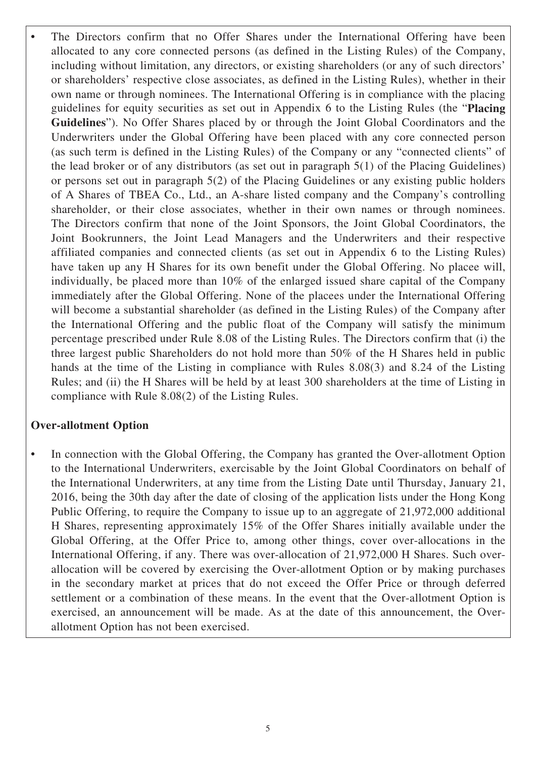The Directors confirm that no Offer Shares under the International Offering have been allocated to any core connected persons (as defined in the Listing Rules) of the Company, including without limitation, any directors, or existing shareholders (or any of such directors' or shareholders' respective close associates, as defined in the Listing Rules), whether in their own name or through nominees. The International Offering is in compliance with the placing guidelines for equity securities as set out in Appendix 6 to the Listing Rules (the "**Placing Guidelines**"). No Offer Shares placed by or through the Joint Global Coordinators and the Underwriters under the Global Offering have been placed with any core connected person (as such term is defined in the Listing Rules) of the Company or any "connected clients" of the lead broker or of any distributors (as set out in paragraph 5(1) of the Placing Guidelines) or persons set out in paragraph 5(2) of the Placing Guidelines or any existing public holders of A Shares of TBEA Co., Ltd., an A-share listed company and the Company's controlling shareholder, or their close associates, whether in their own names or through nominees. The Directors confirm that none of the Joint Sponsors, the Joint Global Coordinators, the Joint Bookrunners, the Joint Lead Managers and the Underwriters and their respective affiliated companies and connected clients (as set out in Appendix 6 to the Listing Rules) have taken up any H Shares for its own benefit under the Global Offering. No placee will, individually, be placed more than 10% of the enlarged issued share capital of the Company immediately after the Global Offering. None of the placees under the International Offering will become a substantial shareholder (as defined in the Listing Rules) of the Company after the International Offering and the public float of the Company will satisfy the minimum percentage prescribed under Rule 8.08 of the Listing Rules. The Directors confirm that (i) the three largest public Shareholders do not hold more than 50% of the H Shares held in public hands at the time of the Listing in compliance with Rules 8.08(3) and 8.24 of the Listing Rules; and (ii) the H Shares will be held by at least 300 shareholders at the time of Listing in compliance with Rule 8.08(2) of the Listing Rules.

#### **Over-allotment Option**

In connection with the Global Offering, the Company has granted the Over-allotment Option to the International Underwriters, exercisable by the Joint Global Coordinators on behalf of the International Underwriters, at any time from the Listing Date until Thursday, January 21, 2016, being the 30th day after the date of closing of the application lists under the Hong Kong Public Offering, to require the Company to issue up to an aggregate of 21,972,000 additional H Shares, representing approximately 15% of the Offer Shares initially available under the Global Offering, at the Offer Price to, among other things, cover over-allocations in the International Offering, if any. There was over-allocation of 21,972,000 H Shares. Such overallocation will be covered by exercising the Over-allotment Option or by making purchases in the secondary market at prices that do not exceed the Offer Price or through deferred settlement or a combination of these means. In the event that the Over-allotment Option is exercised, an announcement will be made. As at the date of this announcement, the Overallotment Option has not been exercised.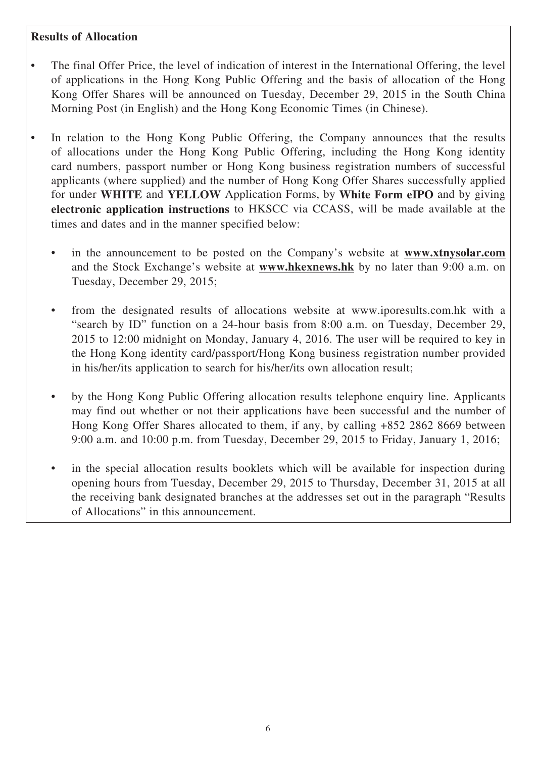#### **Results of Allocation**

- The final Offer Price, the level of indication of interest in the International Offering, the level of applications in the Hong Kong Public Offering and the basis of allocation of the Hong Kong Offer Shares will be announced on Tuesday, December 29, 2015 in the South China Morning Post (in English) and the Hong Kong Economic Times (in Chinese).
- In relation to the Hong Kong Public Offering, the Company announces that the results of allocations under the Hong Kong Public Offering, including the Hong Kong identity card numbers, passport number or Hong Kong business registration numbers of successful applicants (where supplied) and the number of Hong Kong Offer Shares successfully applied for under **WHITE** and **YELLOW** Application Forms, by **White Form eIPO** and by giving **electronic application instructions** to HKSCC via CCASS, will be made available at the times and dates and in the manner specified below:
	- in the announcement to be posted on the Company's website at **www.xtnysolar.com** and the Stock Exchange's website at **www.hkexnews.hk** by no later than 9:00 a.m. on Tuesday, December 29, 2015;
	- from the designated results of allocations website at www.iporesults.com.hk with a "search by ID" function on a 24-hour basis from 8:00 a.m. on Tuesday, December 29, 2015 to 12:00 midnight on Monday, January 4, 2016. The user will be required to key in the Hong Kong identity card/passport/Hong Kong business registration number provided in his/her/its application to search for his/her/its own allocation result;
	- by the Hong Kong Public Offering allocation results telephone enquiry line. Applicants may find out whether or not their applications have been successful and the number of Hong Kong Offer Shares allocated to them, if any, by calling +852 2862 8669 between 9:00 a.m. and 10:00 p.m. from Tuesday, December 29, 2015 to Friday, January 1, 2016;
	- in the special allocation results booklets which will be available for inspection during opening hours from Tuesday, December 29, 2015 to Thursday, December 31, 2015 at all the receiving bank designated branches at the addresses set out in the paragraph "Results of Allocations" in this announcement.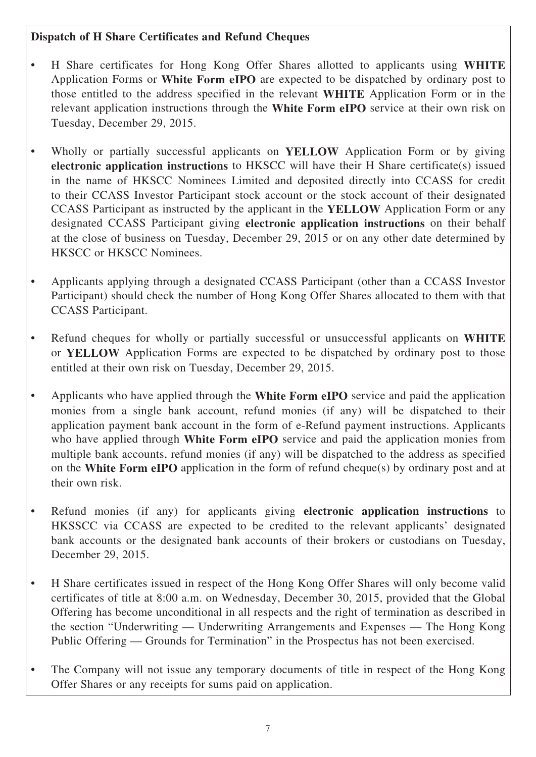### **Dispatch of H Share Certificates and Refund Cheques**

- H Share certificates for Hong Kong Offer Shares allotted to applicants using **WHITE** Application Forms or **White Form eIPO** are expected to be dispatched by ordinary post to those entitled to the address specified in the relevant **WHITE** Application Form or in the relevant application instructions through the **White Form eIPO** service at their own risk on Tuesday, December 29, 2015.
- Wholly or partially successful applicants on **YELLOW** Application Form or by giving **electronic application instructions** to HKSCC will have their H Share certificate(s) issued in the name of HKSCC Nominees Limited and deposited directly into CCASS for credit to their CCASS Investor Participant stock account or the stock account of their designated CCASS Participant as instructed by the applicant in the **YELLOW** Application Form or any designated CCASS Participant giving **electronic application instructions** on their behalf at the close of business on Tuesday, December 29, 2015 or on any other date determined by HKSCC or HKSCC Nominees.
- Applicants applying through a designated CCASS Participant (other than a CCASS Investor Participant) should check the number of Hong Kong Offer Shares allocated to them with that CCASS Participant.
- Refund cheques for wholly or partially successful or unsuccessful applicants on **WHITE** or **YELLOW** Application Forms are expected to be dispatched by ordinary post to those entitled at their own risk on Tuesday, December 29, 2015.
- Applicants who have applied through the **White Form eIPO** service and paid the application monies from a single bank account, refund monies (if any) will be dispatched to their application payment bank account in the form of e-Refund payment instructions. Applicants who have applied through **White Form eIPO** service and paid the application monies from multiple bank accounts, refund monies (if any) will be dispatched to the address as specified on the **White Form eIPO** application in the form of refund cheque(s) by ordinary post and at their own risk.
- Refund monies (if any) for applicants giving **electronic application instructions** to HKSSCC via CCASS are expected to be credited to the relevant applicants' designated bank accounts or the designated bank accounts of their brokers or custodians on Tuesday, December 29, 2015.
- H Share certificates issued in respect of the Hong Kong Offer Shares will only become valid certificates of title at 8:00 a.m. on Wednesday, December 30, 2015, provided that the Global Offering has become unconditional in all respects and the right of termination as described in the section "Underwriting — Underwriting Arrangements and Expenses — The Hong Kong Public Offering — Grounds for Termination" in the Prospectus has not been exercised.
- The Company will not issue any temporary documents of title in respect of the Hong Kong Offer Shares or any receipts for sums paid on application.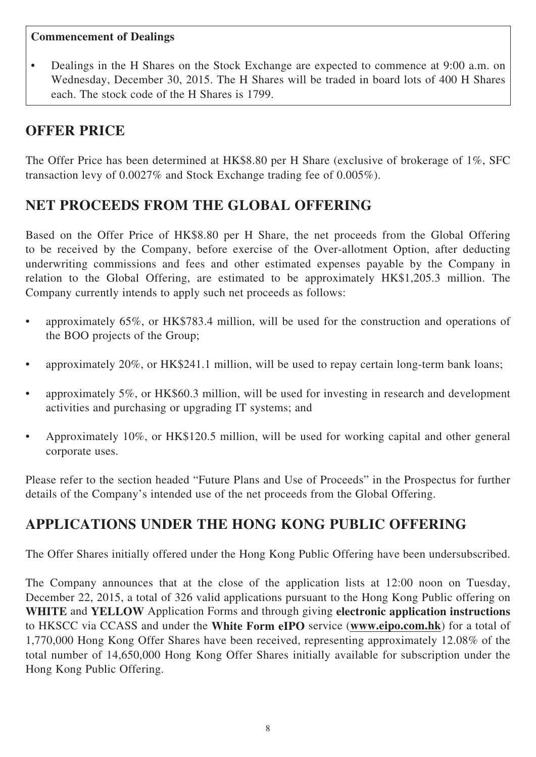#### **Commencement of Dealings**

• Dealings in the H Shares on the Stock Exchange are expected to commence at 9:00 a.m. on Wednesday, December 30, 2015. The H Shares will be traded in board lots of 400 H Shares each. The stock code of the H Shares is 1799.

# **OFFER PRICE**

The Offer Price has been determined at HK\$8.80 per H Share (exclusive of brokerage of 1%, SFC transaction levy of 0.0027% and Stock Exchange trading fee of 0.005%).

# **NET PROCEEDS FROM THE GLOBAL OFFERING**

Based on the Offer Price of HK\$8.80 per H Share, the net proceeds from the Global Offering to be received by the Company, before exercise of the Over-allotment Option, after deducting underwriting commissions and fees and other estimated expenses payable by the Company in relation to the Global Offering, are estimated to be approximately HK\$1,205.3 million. The Company currently intends to apply such net proceeds as follows:

- approximately 65%, or HK\$783.4 million, will be used for the construction and operations of the BOO projects of the Group;
- approximately 20%, or HK\$241.1 million, will be used to repay certain long-term bank loans;
- approximately 5%, or HK\$60.3 million, will be used for investing in research and development activities and purchasing or upgrading IT systems; and
- Approximately 10%, or HK\$120.5 million, will be used for working capital and other general corporate uses.

Please refer to the section headed "Future Plans and Use of Proceeds" in the Prospectus for further details of the Company's intended use of the net proceeds from the Global Offering.

# **APPLICATIONS UNDER THE HONG KONG PUBLIC OFFERING**

The Offer Shares initially offered under the Hong Kong Public Offering have been undersubscribed.

The Company announces that at the close of the application lists at 12:00 noon on Tuesday, December 22, 2015, a total of 326 valid applications pursuant to the Hong Kong Public offering on **WHITE** and **YELLOW** Application Forms and through giving **electronic application instructions** to HKSCC via CCASS and under the **White Form eIPO** service (**www.eipo.com.hk**) for a total of 1,770,000 Hong Kong Offer Shares have been received, representing approximately 12.08% of the total number of 14,650,000 Hong Kong Offer Shares initially available for subscription under the Hong Kong Public Offering.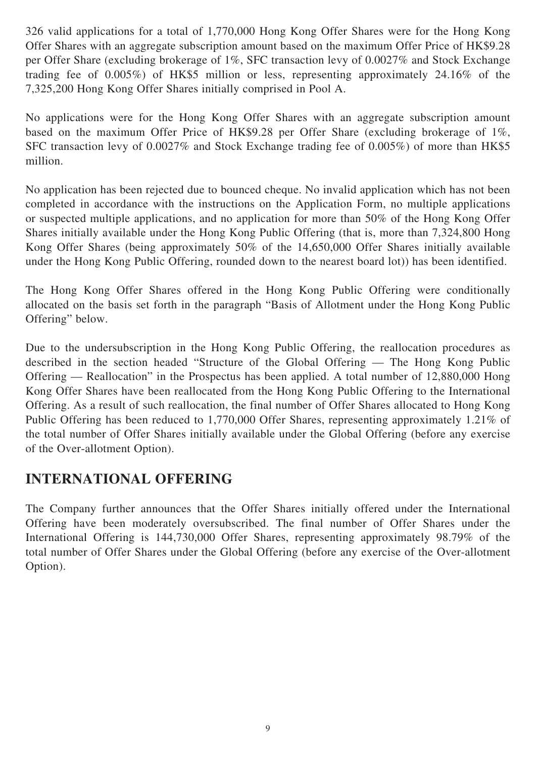326 valid applications for a total of 1,770,000 Hong Kong Offer Shares were for the Hong Kong Offer Shares with an aggregate subscription amount based on the maximum Offer Price of HK\$9.28 per Offer Share (excluding brokerage of 1%, SFC transaction levy of 0.0027% and Stock Exchange trading fee of 0.005%) of HK\$5 million or less, representing approximately 24.16% of the 7,325,200 Hong Kong Offer Shares initially comprised in Pool A.

No applications were for the Hong Kong Offer Shares with an aggregate subscription amount based on the maximum Offer Price of HK\$9.28 per Offer Share (excluding brokerage of 1%, SFC transaction levy of 0.0027% and Stock Exchange trading fee of 0.005%) of more than HK\$5 million.

No application has been rejected due to bounced cheque. No invalid application which has not been completed in accordance with the instructions on the Application Form, no multiple applications or suspected multiple applications, and no application for more than 50% of the Hong Kong Offer Shares initially available under the Hong Kong Public Offering (that is, more than 7,324,800 Hong Kong Offer Shares (being approximately 50% of the 14,650,000 Offer Shares initially available under the Hong Kong Public Offering, rounded down to the nearest board lot)) has been identified.

The Hong Kong Offer Shares offered in the Hong Kong Public Offering were conditionally allocated on the basis set forth in the paragraph "Basis of Allotment under the Hong Kong Public Offering" below.

Due to the undersubscription in the Hong Kong Public Offering, the reallocation procedures as described in the section headed "Structure of the Global Offering — The Hong Kong Public Offering — Reallocation" in the Prospectus has been applied. A total number of 12,880,000 Hong Kong Offer Shares have been reallocated from the Hong Kong Public Offering to the International Offering. As a result of such reallocation, the final number of Offer Shares allocated to Hong Kong Public Offering has been reduced to 1,770,000 Offer Shares, representing approximately 1.21% of the total number of Offer Shares initially available under the Global Offering (before any exercise of the Over-allotment Option).

## **INTERNATIONAL OFFERING**

The Company further announces that the Offer Shares initially offered under the International Offering have been moderately oversubscribed. The final number of Offer Shares under the International Offering is 144,730,000 Offer Shares, representing approximately 98.79% of the total number of Offer Shares under the Global Offering (before any exercise of the Over-allotment Option).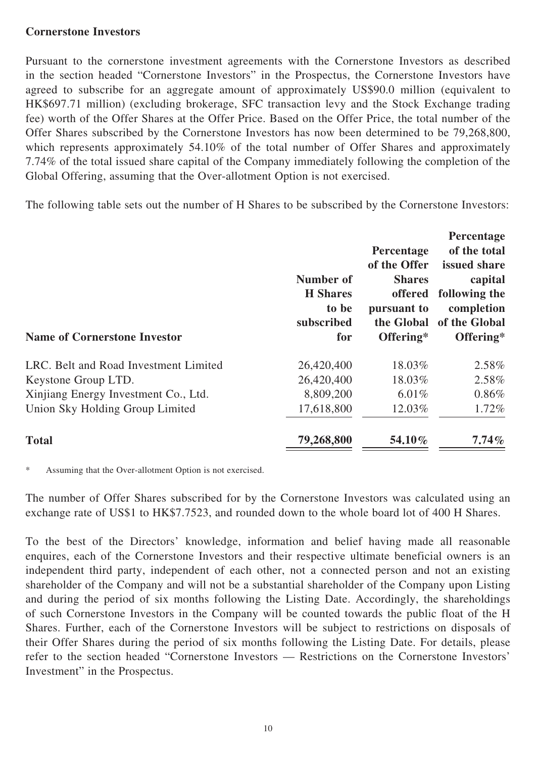#### **Cornerstone Investors**

Pursuant to the cornerstone investment agreements with the Cornerstone Investors as described in the section headed "Cornerstone Investors" in the Prospectus, the Cornerstone Investors have agreed to subscribe for an aggregate amount of approximately US\$90.0 million (equivalent to HK\$697.71 million) (excluding brokerage, SFC transaction levy and the Stock Exchange trading fee) worth of the Offer Shares at the Offer Price. Based on the Offer Price, the total number of the Offer Shares subscribed by the Cornerstone Investors has now been determined to be 79,268,800, which represents approximately 54.10% of the total number of Offer Shares and approximately 7.74% of the total issued share capital of the Company immediately following the completion of the Global Offering, assuming that the Over-allotment Option is not exercised.

The following table sets out the number of H Shares to be subscribed by the Cornerstone Investors:

| <b>Name of Cornerstone Investor</b>   | Number of<br><b>H</b> Shares<br>to be<br>subscribed<br>for | <b>Percentage</b><br>of the Offer<br><b>Shares</b><br>offered<br>pursuant to<br>the Global<br>Offering* | <b>Percentage</b><br>of the total<br>issued share<br>capital<br>following the<br>completion<br>of the Global<br>Offering* |
|---------------------------------------|------------------------------------------------------------|---------------------------------------------------------------------------------------------------------|---------------------------------------------------------------------------------------------------------------------------|
| LRC. Belt and Road Investment Limited | 26,420,400                                                 | 18.03%                                                                                                  | 2.58%                                                                                                                     |
| Keystone Group LTD.                   | 26,420,400                                                 | 18.03%                                                                                                  | 2.58%                                                                                                                     |
| Xinjiang Energy Investment Co., Ltd.  | 8,809,200                                                  | 6.01%                                                                                                   | $0.86\%$                                                                                                                  |
| Union Sky Holding Group Limited       | 17,618,800                                                 | 12.03%                                                                                                  | 1.72%                                                                                                                     |
| <b>Total</b>                          | 79,268,800                                                 | 54.10%                                                                                                  | $7.74\%$                                                                                                                  |

Assuming that the Over-allotment Option is not exercised.

The number of Offer Shares subscribed for by the Cornerstone Investors was calculated using an exchange rate of US\$1 to HK\$7.7523, and rounded down to the whole board lot of 400 H Shares.

To the best of the Directors' knowledge, information and belief having made all reasonable enquires, each of the Cornerstone Investors and their respective ultimate beneficial owners is an independent third party, independent of each other, not a connected person and not an existing shareholder of the Company and will not be a substantial shareholder of the Company upon Listing and during the period of six months following the Listing Date. Accordingly, the shareholdings of such Cornerstone Investors in the Company will be counted towards the public float of the H Shares. Further, each of the Cornerstone Investors will be subject to restrictions on disposals of their Offer Shares during the period of six months following the Listing Date. For details, please refer to the section headed "Cornerstone Investors — Restrictions on the Cornerstone Investors' Investment" in the Prospectus.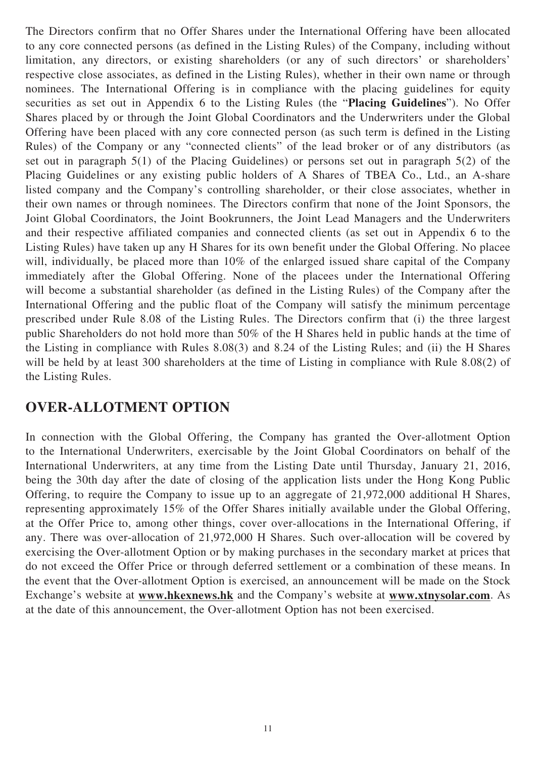The Directors confirm that no Offer Shares under the International Offering have been allocated to any core connected persons (as defined in the Listing Rules) of the Company, including without limitation, any directors, or existing shareholders (or any of such directors' or shareholders' respective close associates, as defined in the Listing Rules), whether in their own name or through nominees. The International Offering is in compliance with the placing guidelines for equity securities as set out in Appendix 6 to the Listing Rules (the "**Placing Guidelines**"). No Offer Shares placed by or through the Joint Global Coordinators and the Underwriters under the Global Offering have been placed with any core connected person (as such term is defined in the Listing Rules) of the Company or any "connected clients" of the lead broker or of any distributors (as set out in paragraph 5(1) of the Placing Guidelines) or persons set out in paragraph 5(2) of the Placing Guidelines or any existing public holders of A Shares of TBEA Co., Ltd., an A-share listed company and the Company's controlling shareholder, or their close associates, whether in their own names or through nominees. The Directors confirm that none of the Joint Sponsors, the Joint Global Coordinators, the Joint Bookrunners, the Joint Lead Managers and the Underwriters and their respective affiliated companies and connected clients (as set out in Appendix 6 to the Listing Rules) have taken up any H Shares for its own benefit under the Global Offering. No placee will, individually, be placed more than 10% of the enlarged issued share capital of the Company immediately after the Global Offering. None of the placees under the International Offering will become a substantial shareholder (as defined in the Listing Rules) of the Company after the International Offering and the public float of the Company will satisfy the minimum percentage prescribed under Rule 8.08 of the Listing Rules. The Directors confirm that (i) the three largest public Shareholders do not hold more than 50% of the H Shares held in public hands at the time of the Listing in compliance with Rules 8.08(3) and 8.24 of the Listing Rules; and (ii) the H Shares will be held by at least 300 shareholders at the time of Listing in compliance with Rule 8.08(2) of the Listing Rules.

## **OVER-ALLOTMENT OPTION**

In connection with the Global Offering, the Company has granted the Over-allotment Option to the International Underwriters, exercisable by the Joint Global Coordinators on behalf of the International Underwriters, at any time from the Listing Date until Thursday, January 21, 2016, being the 30th day after the date of closing of the application lists under the Hong Kong Public Offering, to require the Company to issue up to an aggregate of 21,972,000 additional H Shares, representing approximately 15% of the Offer Shares initially available under the Global Offering, at the Offer Price to, among other things, cover over-allocations in the International Offering, if any. There was over-allocation of 21,972,000 H Shares. Such over-allocation will be covered by exercising the Over-allotment Option or by making purchases in the secondary market at prices that do not exceed the Offer Price or through deferred settlement or a combination of these means. In the event that the Over-allotment Option is exercised, an announcement will be made on the Stock Exchange's website at **www.hkexnews.hk** and the Company's website at **www.xtnysolar.com**. As at the date of this announcement, the Over-allotment Option has not been exercised.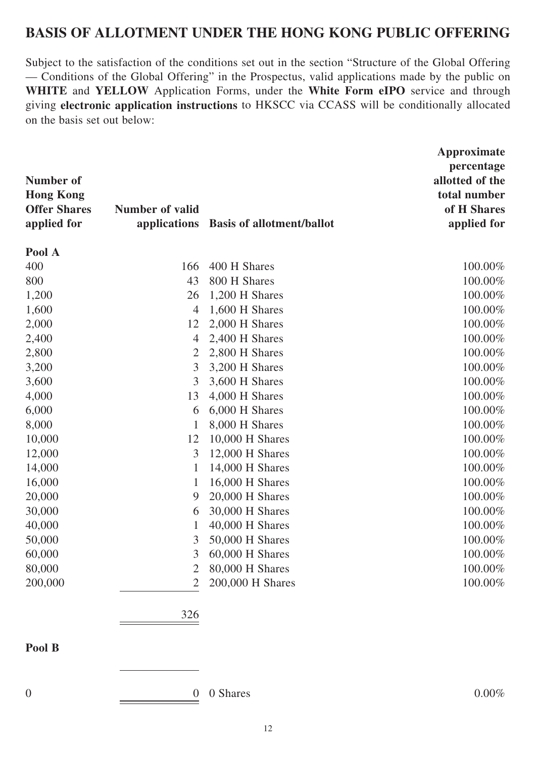## **BASIS OF ALLOTMENT UNDER THE HONG KONG PUBLIC OFFERING**

Subject to the satisfaction of the conditions set out in the section "Structure of the Global Offering — Conditions of the Global Offering" in the Prospectus, valid applications made by the public on **WHITE** and **YELLOW** Application Forms, under the **White Form eIPO** service and through giving **electronic application instructions** to HKSCC via CCASS will be conditionally allocated on the basis set out below:

| <b>Number of</b><br><b>Hong Kong</b><br><b>Offer Shares</b><br>applied for | <b>Number of valid</b><br>applications | <b>Basis of allotment/ballot</b> | Approximate<br>percentage<br>allotted of the<br>total number<br>of H Shares<br>applied for |
|----------------------------------------------------------------------------|----------------------------------------|----------------------------------|--------------------------------------------------------------------------------------------|
| Pool A                                                                     |                                        |                                  |                                                                                            |
| 400                                                                        | 166                                    | 400 H Shares                     | 100.00%                                                                                    |
| 800                                                                        | 43                                     | 800 H Shares                     | 100.00%                                                                                    |
| 1,200                                                                      | 26                                     | 1,200 H Shares                   | 100.00%                                                                                    |
| 1,600                                                                      | $\overline{4}$                         | 1,600 H Shares                   | 100.00%                                                                                    |
| 2,000                                                                      | 12                                     | 2,000 H Shares                   | 100.00%                                                                                    |
| 2,400                                                                      | $\overline{4}$                         | 2,400 H Shares                   | 100.00%                                                                                    |
| 2,800                                                                      | $\overline{2}$                         | 2,800 H Shares                   | 100.00%                                                                                    |
| 3,200                                                                      | 3                                      | 3,200 H Shares                   | 100.00%                                                                                    |
| 3,600                                                                      | 3                                      | 3,600 H Shares                   | 100.00%                                                                                    |
| 4,000                                                                      | 13                                     | 4,000 H Shares                   | 100.00%                                                                                    |
| 6,000                                                                      | 6                                      | 6,000 H Shares                   | 100.00%                                                                                    |
| 8,000                                                                      | $\mathbf{1}$                           | 8,000 H Shares                   | 100.00%                                                                                    |
| 10,000                                                                     | 12                                     | 10,000 H Shares                  | 100.00%                                                                                    |
| 12,000                                                                     | 3                                      | 12,000 H Shares                  | 100.00%                                                                                    |
| 14,000                                                                     | $\mathbf{1}$                           | 14,000 H Shares                  | 100.00%                                                                                    |
| 16,000                                                                     | 1                                      | 16,000 H Shares                  | 100.00%                                                                                    |
| 20,000                                                                     | 9                                      | $20,000$ H Shares                | 100.00%                                                                                    |
| 30,000                                                                     | 6                                      | 30,000 H Shares                  | 100.00%                                                                                    |
| 40,000                                                                     | 1                                      | 40,000 H Shares                  | 100.00%                                                                                    |
| 50,000                                                                     | 3                                      | 50,000 H Shares                  | 100.00%                                                                                    |
| 60,000                                                                     | 3                                      | 60,000 H Shares                  | 100.00%                                                                                    |
| 80,000                                                                     | 2                                      | 80,000 H Shares                  | 100.00%                                                                                    |
| 200,000                                                                    | $\mathfrak{2}$                         | 200,000 H Shares                 | 100.00%                                                                                    |
|                                                                            | 326                                    |                                  |                                                                                            |
| Pool B                                                                     |                                        |                                  |                                                                                            |
|                                                                            |                                        |                                  |                                                                                            |

0 0 0  $\frac{0}{\sqrt{1-\frac{0}{0}}}\$  0 Shares 0.00%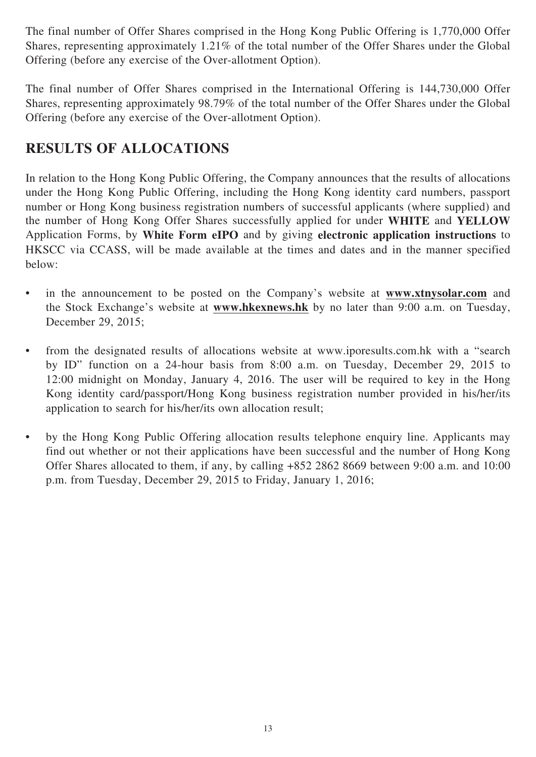The final number of Offer Shares comprised in the Hong Kong Public Offering is 1,770,000 Offer Shares, representing approximately 1.21% of the total number of the Offer Shares under the Global Offering (before any exercise of the Over-allotment Option).

The final number of Offer Shares comprised in the International Offering is 144,730,000 Offer Shares, representing approximately 98.79% of the total number of the Offer Shares under the Global Offering (before any exercise of the Over-allotment Option).

# **RESULTS OF ALLOCATIONS**

In relation to the Hong Kong Public Offering, the Company announces that the results of allocations under the Hong Kong Public Offering, including the Hong Kong identity card numbers, passport number or Hong Kong business registration numbers of successful applicants (where supplied) and the number of Hong Kong Offer Shares successfully applied for under **WHITE** and **YELLOW**  Application Forms, by **White Form eIPO** and by giving **electronic application instructions** to HKSCC via CCASS, will be made available at the times and dates and in the manner specified below:

- in the announcement to be posted on the Company's website at **www.xtnysolar.com** and the Stock Exchange's website at **www.hkexnews.hk** by no later than 9:00 a.m. on Tuesday, December 29, 2015;
- from the designated results of allocations website at www.iporesults.com.hk with a "search by ID" function on a 24-hour basis from 8:00 a.m. on Tuesday, December 29, 2015 to 12:00 midnight on Monday, January 4, 2016. The user will be required to key in the Hong Kong identity card/passport/Hong Kong business registration number provided in his/her/its application to search for his/her/its own allocation result;
- by the Hong Kong Public Offering allocation results telephone enquiry line. Applicants may find out whether or not their applications have been successful and the number of Hong Kong Offer Shares allocated to them, if any, by calling +852 2862 8669 between 9:00 a.m. and 10:00 p.m. from Tuesday, December 29, 2015 to Friday, January 1, 2016;